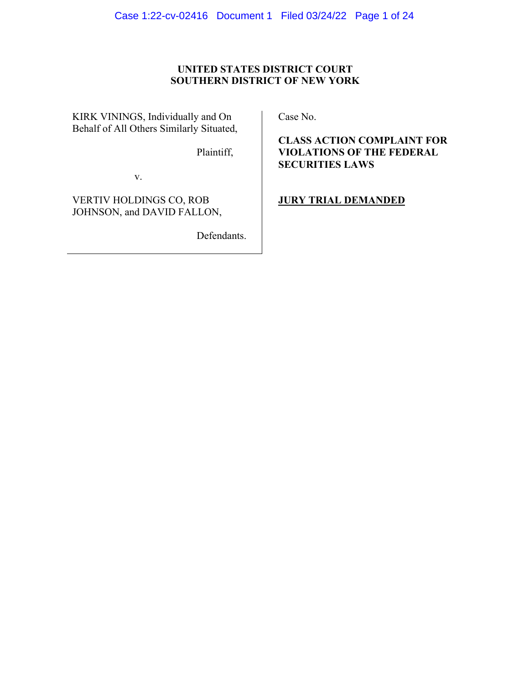# **UNITED STATES DISTRICT COURT SOUTHERN DISTRICT OF NEW YORK**

KIRK VININGS, Individually and On Behalf of All Others Similarly Situated,

Plaintiff,

v.

VERTIV HOLDINGS CO, ROB JOHNSON, and DAVID FALLON,

Defendants.

Case No.

**CLASS ACTION COMPLAINT FOR VIOLATIONS OF THE FEDERAL SECURITIES LAWS**

**JURY TRIAL DEMANDED**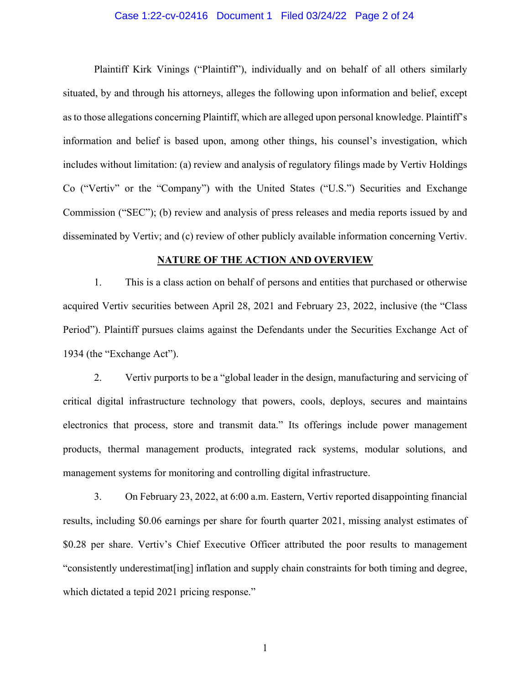### Case 1:22-cv-02416 Document 1 Filed 03/24/22 Page 2 of 24

Plaintiff Kirk Vinings ("Plaintiff"), individually and on behalf of all others similarly situated, by and through his attorneys, alleges the following upon information and belief, except as to those allegations concerning Plaintiff, which are alleged upon personal knowledge. Plaintiff's information and belief is based upon, among other things, his counsel's investigation, which includes without limitation: (a) review and analysis of regulatory filings made by Vertiv Holdings Co ("Vertiv" or the "Company") with the United States ("U.S.") Securities and Exchange Commission ("SEC"); (b) review and analysis of press releases and media reports issued by and disseminated by Vertiv; and (c) review of other publicly available information concerning Vertiv.

#### **NATURE OF THE ACTION AND OVERVIEW**

1. This is a class action on behalf of persons and entities that purchased or otherwise acquired Vertiv securities between April 28, 2021 and February 23, 2022, inclusive (the "Class Period"). Plaintiff pursues claims against the Defendants under the Securities Exchange Act of 1934 (the "Exchange Act").

2. Vertiv purports to be a "global leader in the design, manufacturing and servicing of critical digital infrastructure technology that powers, cools, deploys, secures and maintains electronics that process, store and transmit data." Its offerings include power management products, thermal management products, integrated rack systems, modular solutions, and management systems for monitoring and controlling digital infrastructure.

3. On February 23, 2022, at 6:00 a.m. Eastern, Vertiv reported disappointing financial results, including \$0.06 earnings per share for fourth quarter 2021, missing analyst estimates of \$0.28 per share. Vertiv's Chief Executive Officer attributed the poor results to management "consistently underestimat[ing] inflation and supply chain constraints for both timing and degree, which dictated a tepid 2021 pricing response."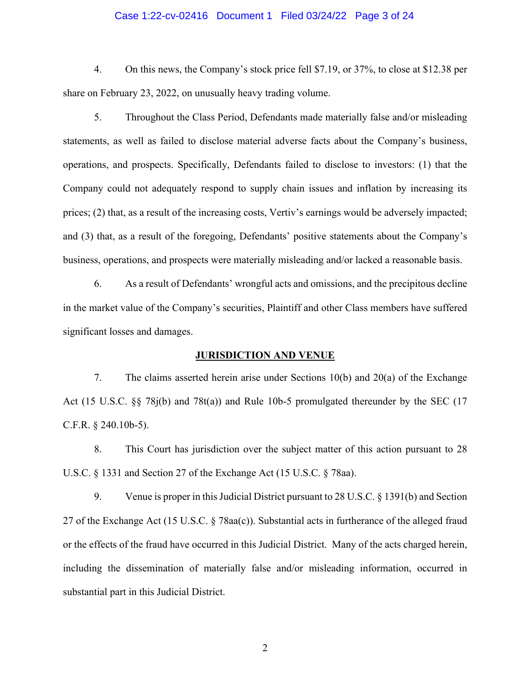### Case 1:22-cv-02416 Document 1 Filed 03/24/22 Page 3 of 24

4. On this news, the Company's stock price fell \$7.19, or 37%, to close at \$12.38 per share on February 23, 2022, on unusually heavy trading volume.

5. Throughout the Class Period, Defendants made materially false and/or misleading statements, as well as failed to disclose material adverse facts about the Company's business, operations, and prospects. Specifically, Defendants failed to disclose to investors: (1) that the Company could not adequately respond to supply chain issues and inflation by increasing its prices; (2) that, as a result of the increasing costs, Vertiv's earnings would be adversely impacted; and (3) that, as a result of the foregoing, Defendants' positive statements about the Company's business, operations, and prospects were materially misleading and/or lacked a reasonable basis.

6. As a result of Defendants' wrongful acts and omissions, and the precipitous decline in the market value of the Company's securities, Plaintiff and other Class members have suffered significant losses and damages.

#### **JURISDICTION AND VENUE**

7. The claims asserted herein arise under Sections 10(b) and 20(a) of the Exchange Act (15 U.S.C. §§ 78j(b) and 78t(a)) and Rule 10b-5 promulgated thereunder by the SEC (17 C.F.R. § 240.10b-5).

8. This Court has jurisdiction over the subject matter of this action pursuant to 28 U.S.C. § 1331 and Section 27 of the Exchange Act (15 U.S.C. § 78aa).

9. Venue is proper in this Judicial District pursuant to 28 U.S.C. § 1391(b) and Section 27 of the Exchange Act (15 U.S.C. § 78aa(c)). Substantial acts in furtherance of the alleged fraud or the effects of the fraud have occurred in this Judicial District. Many of the acts charged herein, including the dissemination of materially false and/or misleading information, occurred in substantial part in this Judicial District.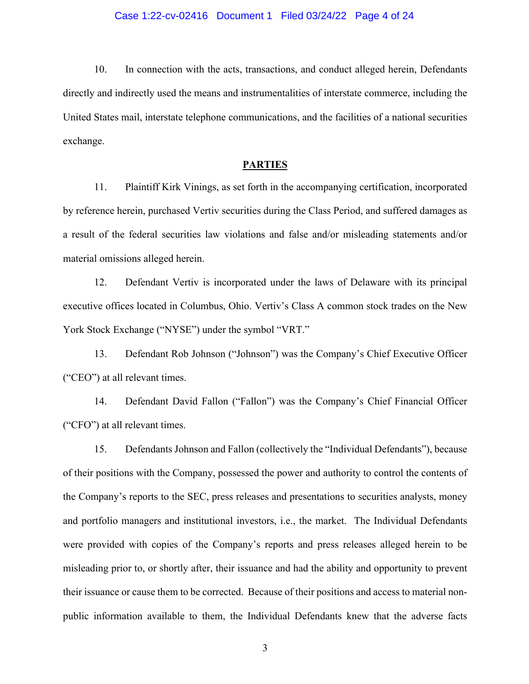### Case 1:22-cv-02416 Document 1 Filed 03/24/22 Page 4 of 24

10. In connection with the acts, transactions, and conduct alleged herein, Defendants directly and indirectly used the means and instrumentalities of interstate commerce, including the United States mail, interstate telephone communications, and the facilities of a national securities exchange.

#### **PARTIES**

11. Plaintiff Kirk Vinings, as set forth in the accompanying certification, incorporated by reference herein, purchased Vertiv securities during the Class Period, and suffered damages as a result of the federal securities law violations and false and/or misleading statements and/or material omissions alleged herein.

12. Defendant Vertiv is incorporated under the laws of Delaware with its principal executive offices located in Columbus, Ohio. Vertiv's Class A common stock trades on the New York Stock Exchange ("NYSE") under the symbol "VRT."

13. Defendant Rob Johnson ("Johnson") was the Company's Chief Executive Officer ("CEO") at all relevant times.

14. Defendant David Fallon ("Fallon") was the Company's Chief Financial Officer ("CFO") at all relevant times.

15. Defendants Johnson and Fallon (collectively the "Individual Defendants"), because of their positions with the Company, possessed the power and authority to control the contents of the Company's reports to the SEC, press releases and presentations to securities analysts, money and portfolio managers and institutional investors, i.e., the market. The Individual Defendants were provided with copies of the Company's reports and press releases alleged herein to be misleading prior to, or shortly after, their issuance and had the ability and opportunity to prevent their issuance or cause them to be corrected. Because of their positions and access to material nonpublic information available to them, the Individual Defendants knew that the adverse facts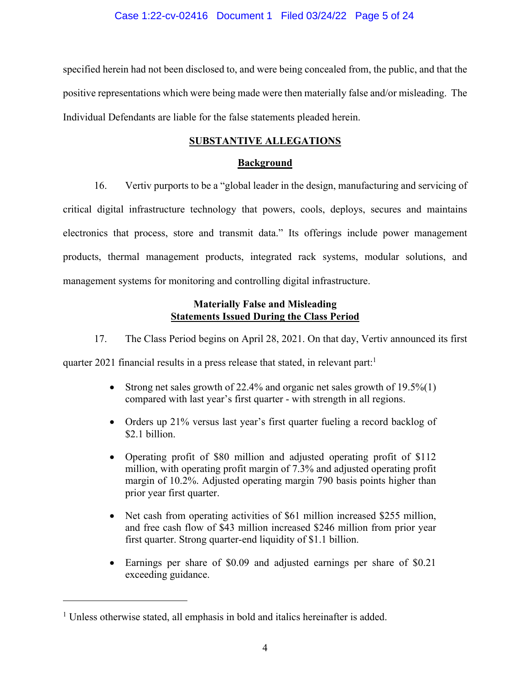specified herein had not been disclosed to, and were being concealed from, the public, and that the positive representations which were being made were then materially false and/or misleading. The Individual Defendants are liable for the false statements pleaded herein.

## **SUBSTANTIVE ALLEGATIONS**

## **Background**

16. Vertiv purports to be a "global leader in the design, manufacturing and servicing of critical digital infrastructure technology that powers, cools, deploys, secures and maintains electronics that process, store and transmit data." Its offerings include power management products, thermal management products, integrated rack systems, modular solutions, and management systems for monitoring and controlling digital infrastructure.

## **Materially False and Misleading Statements Issued During the Class Period**

17. The Class Period begins on April 28, 2021. On that day, Vertiv announced its first

quarter 2021 financial results in a press release that stated, in relevant part:<sup>1</sup>

- Strong net sales growth of 22.4% and organic net sales growth of 19.5%(1) compared with last year's first quarter - with strength in all regions.
- Orders up 21% versus last year's first quarter fueling a record backlog of \$2.1 billion.
- Operating profit of \$80 million and adjusted operating profit of \$112 million, with operating profit margin of 7.3% and adjusted operating profit margin of 10.2%. Adjusted operating margin 790 basis points higher than prior year first quarter.
- Net cash from operating activities of \$61 million increased \$255 million, and free cash flow of \$43 million increased \$246 million from prior year first quarter. Strong quarter-end liquidity of \$1.1 billion.
- Earnings per share of \$0.09 and adjusted earnings per share of \$0.21 exceeding guidance.

<sup>&</sup>lt;sup>1</sup> Unless otherwise stated, all emphasis in bold and italics hereinafter is added.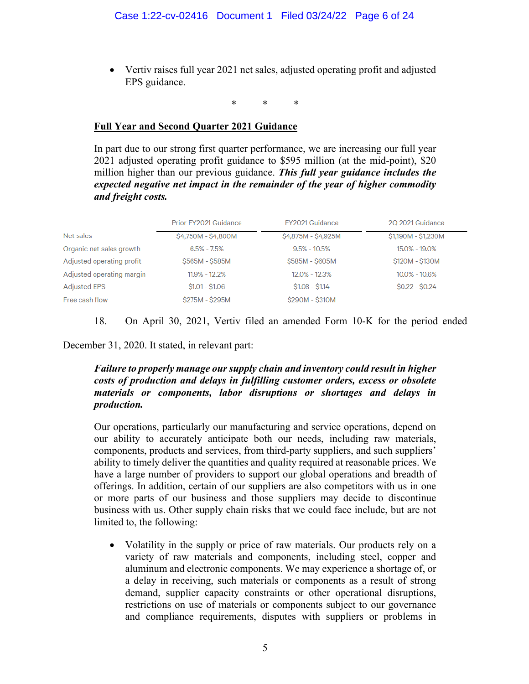• Vertiv raises full year 2021 net sales, adjusted operating profit and adjusted EPS guidance.

\* \* \*

# **Full Year and Second Quarter 2021 Guidance**

In part due to our strong first quarter performance, we are increasing our full year 2021 adjusted operating profit guidance to \$595 million (at the mid-point), \$20 million higher than our previous guidance. *This full year guidance includes the expected negative net impact in the remainder of the year of higher commodity and freight costs.*

|                           | Prior FY2021 Guidance | FY2021 Guidance     | 2Q 2021 Guidance    |
|---------------------------|-----------------------|---------------------|---------------------|
| Net sales                 | \$4,750M - \$4,800M   | \$4,875M - \$4,925M | \$1,190M - \$1,230M |
| Organic net sales growth  | $6.5\% - 7.5\%$       | $9.5\% - 10.5\%$    | 15.0% - 19.0%       |
| Adjusted operating profit | \$565M - \$585M       | \$585M - \$605M     | \$120M - \$130M     |
| Adjusted operating margin | $11.9\% - 12.2\%$     | $12.0\% - 12.3\%$   | $10.0\% - 10.6\%$   |
| <b>Adjusted EPS</b>       | $$1.01 - $1.06$       | $$1.08 - $1.14$     | $$0.22 - $0.24$$    |
| Free cash flow            | \$275M - \$295M       | \$290M - \$310M     |                     |

# 18. On April 30, 2021, Vertiv filed an amended Form 10-K for the period ended

December 31, 2020. It stated, in relevant part:

# *Failure to properly manage our supply chain and inventory could result in higher costs of production and delays in fulfilling customer orders, excess or obsolete materials or components, labor disruptions or shortages and delays in production.*

Our operations, particularly our manufacturing and service operations, depend on our ability to accurately anticipate both our needs, including raw materials, components, products and services, from third-party suppliers, and such suppliers' ability to timely deliver the quantities and quality required at reasonable prices. We have a large number of providers to support our global operations and breadth of offerings. In addition, certain of our suppliers are also competitors with us in one or more parts of our business and those suppliers may decide to discontinue business with us. Other supply chain risks that we could face include, but are not limited to, the following:

• Volatility in the supply or price of raw materials. Our products rely on a variety of raw materials and components, including steel, copper and aluminum and electronic components. We may experience a shortage of, or a delay in receiving, such materials or components as a result of strong demand, supplier capacity constraints or other operational disruptions, restrictions on use of materials or components subject to our governance and compliance requirements, disputes with suppliers or problems in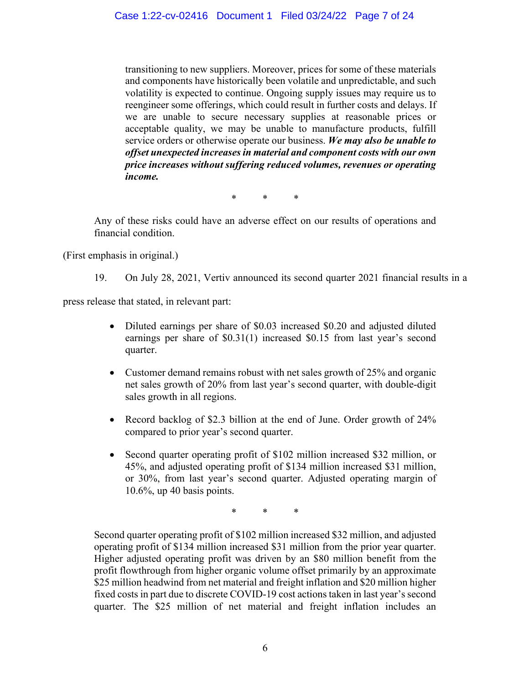transitioning to new suppliers. Moreover, prices for some of these materials and components have historically been volatile and unpredictable, and such volatility is expected to continue. Ongoing supply issues may require us to reengineer some offerings, which could result in further costs and delays. If we are unable to secure necessary supplies at reasonable prices or acceptable quality, we may be unable to manufacture products, fulfill service orders or otherwise operate our business. *We may also be unable to offset unexpected increases in material and component costs with our own price increases without suffering reduced volumes, revenues or operating income.*

\* \* \*

Any of these risks could have an adverse effect on our results of operations and financial condition.

(First emphasis in original.)

19. On July 28, 2021, Vertiv announced its second quarter 2021 financial results in a

press release that stated, in relevant part:

- Diluted earnings per share of \$0.03 increased \$0.20 and adjusted diluted earnings per share of \$0.31(1) increased \$0.15 from last year's second quarter.
- Customer demand remains robust with net sales growth of 25% and organic net sales growth of 20% from last year's second quarter, with double-digit sales growth in all regions.
- Record backlog of \$2.3 billion at the end of June. Order growth of 24% compared to prior year's second quarter.
- Second quarter operating profit of \$102 million increased \$32 million, or 45%, and adjusted operating profit of \$134 million increased \$31 million, or 30%, from last year's second quarter. Adjusted operating margin of 10.6%, up 40 basis points.

\* \* \*

Second quarter operating profit of \$102 million increased \$32 million, and adjusted operating profit of \$134 million increased \$31 million from the prior year quarter. Higher adjusted operating profit was driven by an \$80 million benefit from the profit flowthrough from higher organic volume offset primarily by an approximate \$25 million headwind from net material and freight inflation and \$20 million higher fixed costs in part due to discrete COVID-19 cost actions taken in last year's second quarter. The \$25 million of net material and freight inflation includes an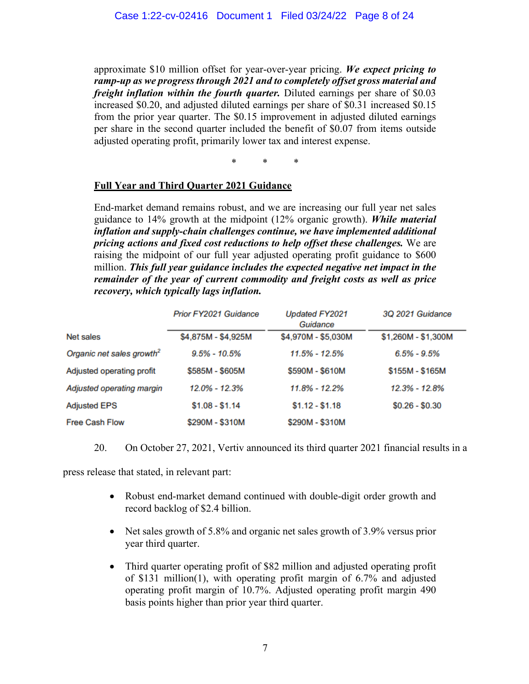approximate \$10 million offset for year-over-year pricing. *We expect pricing to ramp-up as we progress through 2021 and to completely offset gross material and freight inflation within the fourth quarter.* Diluted earnings per share of \$0.03 increased \$0.20, and adjusted diluted earnings per share of \$0.31 increased \$0.15 from the prior year quarter. The \$0.15 improvement in adjusted diluted earnings per share in the second quarter included the benefit of \$0.07 from items outside adjusted operating profit, primarily lower tax and interest expense.

\* \* \*

### **Full Year and Third Quarter 2021 Guidance**

End-market demand remains robust, and we are increasing our full year net sales guidance to 14% growth at the midpoint (12% organic growth). *While material inflation and supply-chain challenges continue, we have implemented additional pricing actions and fixed cost reductions to help offset these challenges.* We are raising the midpoint of our full year adjusted operating profit guidance to \$600 million. *This full year guidance includes the expected negative net impact in the remainder of the year of current commodity and freight costs as well as price recovery, which typically lags inflation.*

|                                       | <b>Prior FY2021 Guidance</b> | <b>Updated FY2021</b><br>Guidance | 3Q 2021 Guidance    |
|---------------------------------------|------------------------------|-----------------------------------|---------------------|
| Net sales                             | \$4,875M - \$4,925M          | \$4,970M - \$5,030M               | \$1,260M - \$1,300M |
| Organic net sales growth <sup>2</sup> | $9.5\% - 10.5\%$             | 11.5% - 12.5%                     | $6.5\% - 9.5\%$     |
| Adjusted operating profit             | \$585M - \$605M              | \$590M - \$610M                   | \$155M - \$165M     |
| Adjusted operating margin             | 12.0% - 12.3%                | 11.8% - 12.2%                     | 12.3% - 12.8%       |
| <b>Adjusted EPS</b>                   | $$1.08 - $1.14$              | $$1.12 - $1.18$                   | $$0.26 - $0.30$     |
| Free Cash Flow                        | \$290M - \$310M              | \$290M - \$310M                   |                     |

20. On October 27, 2021, Vertiv announced its third quarter 2021 financial results in a

press release that stated, in relevant part:

- Robust end-market demand continued with double-digit order growth and record backlog of \$2.4 billion.
- Net sales growth of 5.8% and organic net sales growth of 3.9% versus prior year third quarter.
- Third quarter operating profit of \$82 million and adjusted operating profit of \$131 million(1), with operating profit margin of 6.7% and adjusted operating profit margin of 10.7%. Adjusted operating profit margin 490 basis points higher than prior year third quarter.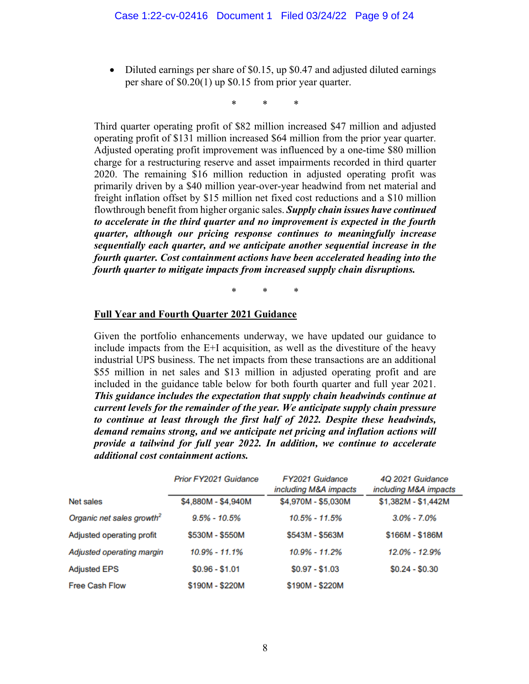• Diluted earnings per share of \$0.15, up \$0.47 and adjusted diluted earnings per share of \$0.20(1) up \$0.15 from prior year quarter.

\* \* \*

Third quarter operating profit of \$82 million increased \$47 million and adjusted operating profit of \$131 million increased \$64 million from the prior year quarter. Adjusted operating profit improvement was influenced by a one-time \$80 million charge for a restructuring reserve and asset impairments recorded in third quarter 2020. The remaining \$16 million reduction in adjusted operating profit was primarily driven by a \$40 million year-over-year headwind from net material and freight inflation offset by \$15 million net fixed cost reductions and a \$10 million flowthrough benefit from higher organic sales. *Supply chain issues have continued to accelerate in the third quarter and no improvement is expected in the fourth quarter, although our pricing response continues to meaningfully increase sequentially each quarter, and we anticipate another sequential increase in the fourth quarter. Cost containment actions have been accelerated heading into the fourth quarter to mitigate impacts from increased supply chain disruptions.*

\* \* \*

### **Full Year and Fourth Quarter 2021 Guidance**

Given the portfolio enhancements underway, we have updated our guidance to include impacts from the E+I acquisition, as well as the divestiture of the heavy industrial UPS business. The net impacts from these transactions are an additional \$55 million in net sales and \$13 million in adjusted operating profit and are included in the guidance table below for both fourth quarter and full year 2021. *This guidance includes the expectation that supply chain headwinds continue at current levels for the remainder of the year. We anticipate supply chain pressure to continue at least through the first half of 2022. Despite these headwinds, demand remains strong, and we anticipate net pricing and inflation actions will provide a tailwind for full year 2022. In addition, we continue to accelerate additional cost containment actions.*

|                                       | <b>Prior FY2021 Guidance</b> | FY2021 Guidance<br>including M&A impacts | 4Q 2021 Guidance<br>including M&A impacts |
|---------------------------------------|------------------------------|------------------------------------------|-------------------------------------------|
| Net sales                             | \$4,880M - \$4,940M          | \$4,970M - \$5,030M                      | \$1,382M - \$1,442M                       |
| Organic net sales growth <sup>2</sup> | $9.5\% - 10.5\%$             | $10.5\% - 11.5\%$                        | $3.0\% - 7.0\%$                           |
| Adjusted operating profit             | \$530M - \$550M              | \$543M - \$563M                          | \$166M - \$186M                           |
| Adjusted operating margin             | $10.9\% - 11.1\%$            | 10.9% - 11.2%                            | 12.0% - 12.9%                             |
| <b>Adjusted EPS</b>                   | $$0.96 - $1.01$              | $$0.97 - $1.03$                          | $$0.24 - $0.30$                           |
| <b>Free Cash Flow</b>                 | \$190M - \$220M              | \$190M - \$220M                          |                                           |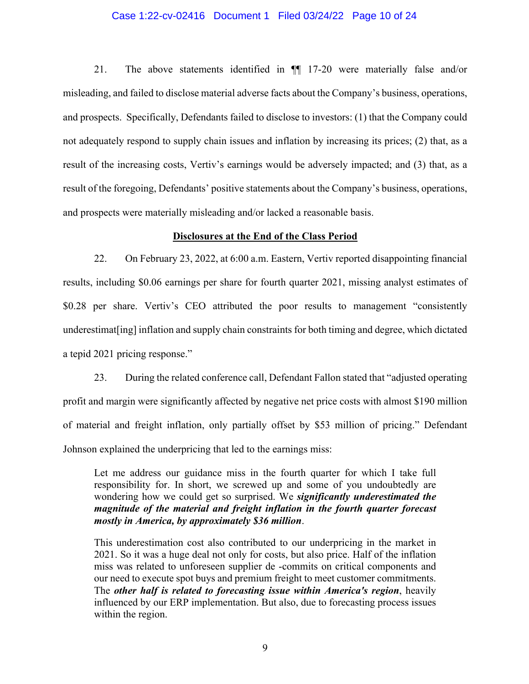### Case 1:22-cv-02416 Document 1 Filed 03/24/22 Page 10 of 24

21. The above statements identified in ¶¶ 17-20 were materially false and/or misleading, and failed to disclose material adverse facts about the Company's business, operations, and prospects. Specifically, Defendants failed to disclose to investors: (1) that the Company could not adequately respond to supply chain issues and inflation by increasing its prices; (2) that, as a result of the increasing costs, Vertiv's earnings would be adversely impacted; and (3) that, as a result of the foregoing, Defendants' positive statements about the Company's business, operations, and prospects were materially misleading and/or lacked a reasonable basis.

#### **Disclosures at the End of the Class Period**

22. On February 23, 2022, at 6:00 a.m. Eastern, Vertiv reported disappointing financial results, including \$0.06 earnings per share for fourth quarter 2021, missing analyst estimates of \$0.28 per share. Vertiv's CEO attributed the poor results to management "consistently underestimat[ing] inflation and supply chain constraints for both timing and degree, which dictated a tepid 2021 pricing response."

23. During the related conference call, Defendant Fallon stated that "adjusted operating profit and margin were significantly affected by negative net price costs with almost \$190 million of material and freight inflation, only partially offset by \$53 million of pricing." Defendant Johnson explained the underpricing that led to the earnings miss:

Let me address our guidance miss in the fourth quarter for which I take full responsibility for. In short, we screwed up and some of you undoubtedly are wondering how we could get so surprised. We *significantly underestimated the magnitude of the material and freight inflation in the fourth quarter forecast mostly in America, by approximately \$36 million*.

This underestimation cost also contributed to our underpricing in the market in 2021. So it was a huge deal not only for costs, but also price. Half of the inflation miss was related to unforeseen supplier de -commits on critical components and our need to execute spot buys and premium freight to meet customer commitments. The *other half is related to forecasting issue within America's region*, heavily influenced by our ERP implementation. But also, due to forecasting process issues within the region.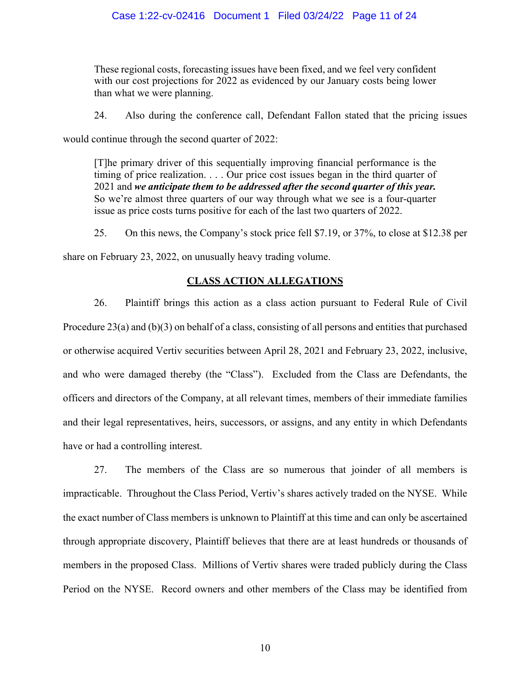These regional costs, forecasting issues have been fixed, and we feel very confident with our cost projections for 2022 as evidenced by our January costs being lower than what we were planning.

24. Also during the conference call, Defendant Fallon stated that the pricing issues

would continue through the second quarter of 2022:

[T]he primary driver of this sequentially improving financial performance is the timing of price realization. . . . Our price cost issues began in the third quarter of 2021 and *we anticipate them to be addressed after the second quarter of this year.* So we're almost three quarters of our way through what we see is a four-quarter issue as price costs turns positive for each of the last two quarters of 2022.

25. On this news, the Company's stock price fell \$7.19, or 37%, to close at \$12.38 per

share on February 23, 2022, on unusually heavy trading volume.

### **CLASS ACTION ALLEGATIONS**

26. Plaintiff brings this action as a class action pursuant to Federal Rule of Civil Procedure 23(a) and (b)(3) on behalf of a class, consisting of all persons and entities that purchased or otherwise acquired Vertiv securities between April 28, 2021 and February 23, 2022, inclusive, and who were damaged thereby (the "Class"). Excluded from the Class are Defendants, the officers and directors of the Company, at all relevant times, members of their immediate families and their legal representatives, heirs, successors, or assigns, and any entity in which Defendants have or had a controlling interest.

27. The members of the Class are so numerous that joinder of all members is impracticable. Throughout the Class Period, Vertiv's shares actively traded on the NYSE. While the exact number of Class members is unknown to Plaintiff at this time and can only be ascertained through appropriate discovery, Plaintiff believes that there are at least hundreds or thousands of members in the proposed Class. Millions of Vertiv shares were traded publicly during the Class Period on the NYSE. Record owners and other members of the Class may be identified from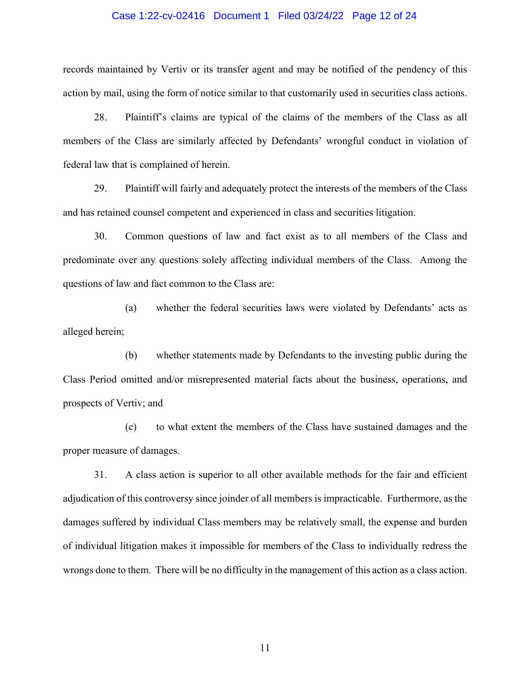#### Case 1:22-cv-02416 Document 1 Filed 03/24/22 Page 12 of 24

records maintained by Vertiv or its transfer agent and may be notified of the pendency of this action by mail, using the form of notice similar to that customarily used in securities class actions.

28. Plaintiff's claims are typical of the claims of the members of the Class as all members of the Class are similarly affected by Defendants' wrongful conduct in violation of federal law that is complained of herein.

29. Plaintiff will fairly and adequately protect the interests of the members of the Class and has retained counsel competent and experienced in class and securities litigation.

30. Common questions of law and fact exist as to all members of the Class and predominate over any questions solely affecting individual members of the Class. Among the questions of law and fact common to the Class are:

(a) whether the federal securities laws were violated by Defendants' acts as alleged herein;

(b) whether statements made by Defendants to the investing public during the Class Period omitted and/or misrepresented material facts about the business, operations, and prospects of Vertiv; and

(c) to what extent the members of the Class have sustained damages and the proper measure of damages.

31. A class action is superior to all other available methods for the fair and efficient adjudication of this controversy since joinder of all members is impracticable. Furthermore, as the damages suffered by individual Class members may be relatively small, the expense and burden of individual litigation makes it impossible for members of the Class to individually redress the wrongs done to them. There will be no difficulty in the management of this action as a class action.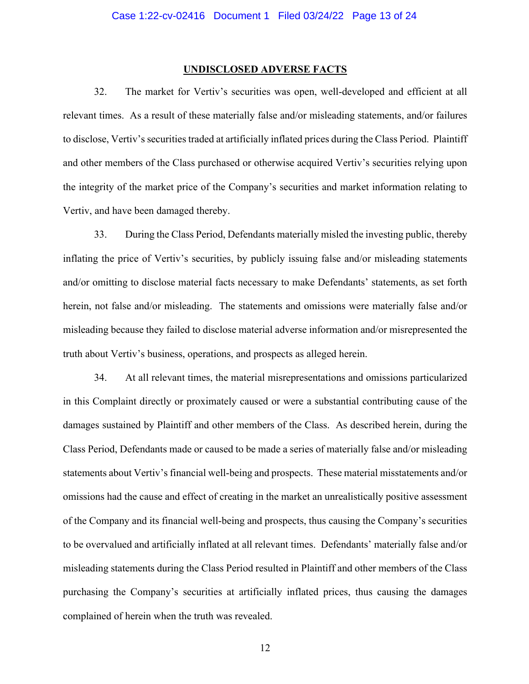#### **UNDISCLOSED ADVERSE FACTS**

32. The market for Vertiv's securities was open, well-developed and efficient at all relevant times. As a result of these materially false and/or misleading statements, and/or failures to disclose, Vertiv's securities traded at artificially inflated prices during the Class Period. Plaintiff and other members of the Class purchased or otherwise acquired Vertiv's securities relying upon the integrity of the market price of the Company's securities and market information relating to Vertiv, and have been damaged thereby.

33. During the Class Period, Defendants materially misled the investing public, thereby inflating the price of Vertiv's securities, by publicly issuing false and/or misleading statements and/or omitting to disclose material facts necessary to make Defendants' statements, as set forth herein, not false and/or misleading. The statements and omissions were materially false and/or misleading because they failed to disclose material adverse information and/or misrepresented the truth about Vertiv's business, operations, and prospects as alleged herein.

34. At all relevant times, the material misrepresentations and omissions particularized in this Complaint directly or proximately caused or were a substantial contributing cause of the damages sustained by Plaintiff and other members of the Class. As described herein, during the Class Period, Defendants made or caused to be made a series of materially false and/or misleading statements about Vertiv's financial well-being and prospects. These material misstatements and/or omissions had the cause and effect of creating in the market an unrealistically positive assessment of the Company and its financial well-being and prospects, thus causing the Company's securities to be overvalued and artificially inflated at all relevant times. Defendants' materially false and/or misleading statements during the Class Period resulted in Plaintiff and other members of the Class purchasing the Company's securities at artificially inflated prices, thus causing the damages complained of herein when the truth was revealed.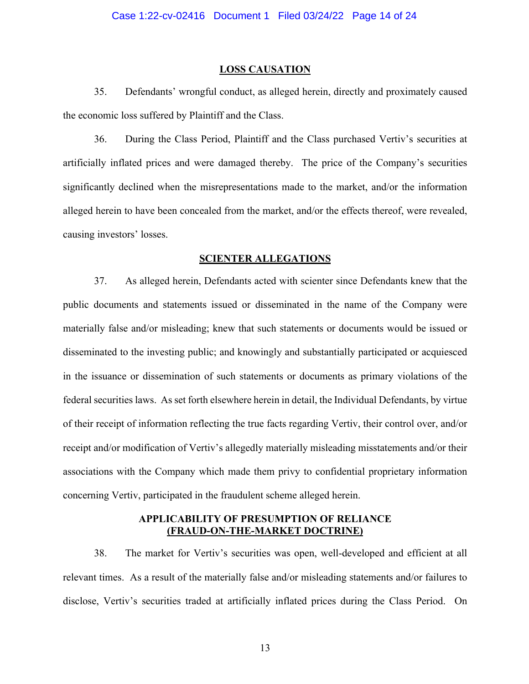#### **LOSS CAUSATION**

35. Defendants' wrongful conduct, as alleged herein, directly and proximately caused the economic loss suffered by Plaintiff and the Class.

36. During the Class Period, Plaintiff and the Class purchased Vertiv's securities at artificially inflated prices and were damaged thereby. The price of the Company's securities significantly declined when the misrepresentations made to the market, and/or the information alleged herein to have been concealed from the market, and/or the effects thereof, were revealed, causing investors' losses.

### **SCIENTER ALLEGATIONS**

37. As alleged herein, Defendants acted with scienter since Defendants knew that the public documents and statements issued or disseminated in the name of the Company were materially false and/or misleading; knew that such statements or documents would be issued or disseminated to the investing public; and knowingly and substantially participated or acquiesced in the issuance or dissemination of such statements or documents as primary violations of the federal securities laws. As set forth elsewhere herein in detail, the Individual Defendants, by virtue of their receipt of information reflecting the true facts regarding Vertiv, their control over, and/or receipt and/or modification of Vertiv's allegedly materially misleading misstatements and/or their associations with the Company which made them privy to confidential proprietary information concerning Vertiv, participated in the fraudulent scheme alleged herein.

## **APPLICABILITY OF PRESUMPTION OF RELIANCE (FRAUD-ON-THE-MARKET DOCTRINE)**

38. The market for Vertiv's securities was open, well-developed and efficient at all relevant times. As a result of the materially false and/or misleading statements and/or failures to disclose, Vertiv's securities traded at artificially inflated prices during the Class Period. On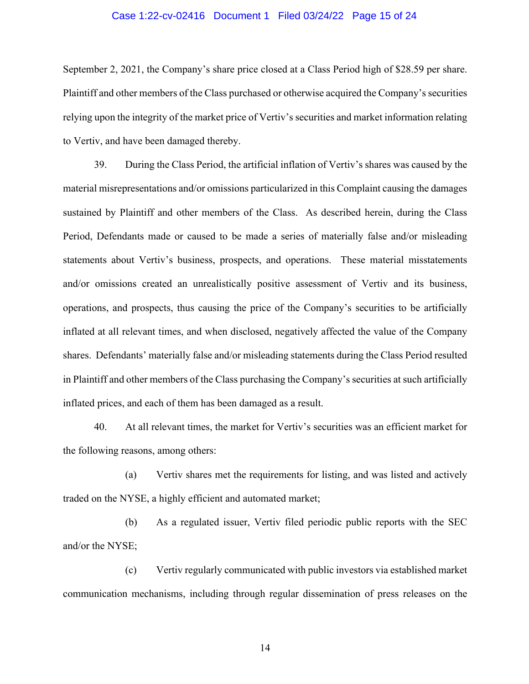### Case 1:22-cv-02416 Document 1 Filed 03/24/22 Page 15 of 24

September 2, 2021, the Company's share price closed at a Class Period high of \$28.59 per share. Plaintiff and other members of the Class purchased or otherwise acquired the Company's securities relying upon the integrity of the market price of Vertiv's securities and market information relating to Vertiv, and have been damaged thereby.

39. During the Class Period, the artificial inflation of Vertiv's shares was caused by the material misrepresentations and/or omissions particularized in this Complaint causing the damages sustained by Plaintiff and other members of the Class. As described herein, during the Class Period, Defendants made or caused to be made a series of materially false and/or misleading statements about Vertiv's business, prospects, and operations. These material misstatements and/or omissions created an unrealistically positive assessment of Vertiv and its business, operations, and prospects, thus causing the price of the Company's securities to be artificially inflated at all relevant times, and when disclosed, negatively affected the value of the Company shares. Defendants' materially false and/or misleading statements during the Class Period resulted in Plaintiff and other members of the Class purchasing the Company's securities at such artificially inflated prices, and each of them has been damaged as a result.

40. At all relevant times, the market for Vertiv's securities was an efficient market for the following reasons, among others:

(a) Vertiv shares met the requirements for listing, and was listed and actively traded on the NYSE, a highly efficient and automated market;

(b) As a regulated issuer, Vertiv filed periodic public reports with the SEC and/or the NYSE;

(c) Vertiv regularly communicated with public investors via established market communication mechanisms, including through regular dissemination of press releases on the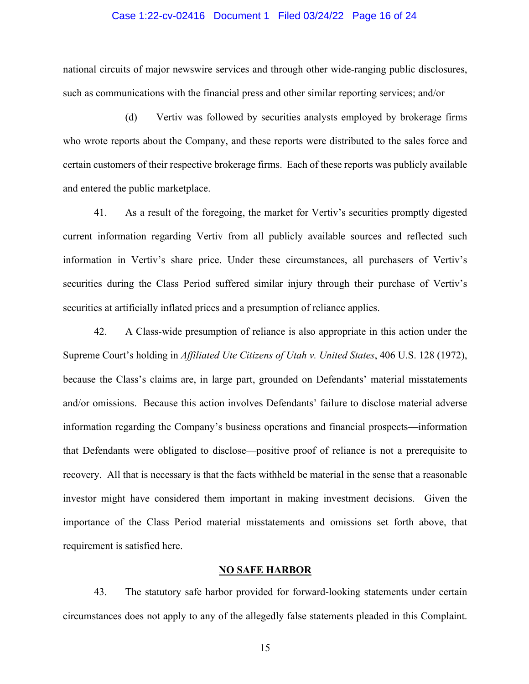#### Case 1:22-cv-02416 Document 1 Filed 03/24/22 Page 16 of 24

national circuits of major newswire services and through other wide-ranging public disclosures, such as communications with the financial press and other similar reporting services; and/or

(d) Vertiv was followed by securities analysts employed by brokerage firms who wrote reports about the Company, and these reports were distributed to the sales force and certain customers of their respective brokerage firms. Each of these reports was publicly available and entered the public marketplace.

41. As a result of the foregoing, the market for Vertiv's securities promptly digested current information regarding Vertiv from all publicly available sources and reflected such information in Vertiv's share price. Under these circumstances, all purchasers of Vertiv's securities during the Class Period suffered similar injury through their purchase of Vertiv's securities at artificially inflated prices and a presumption of reliance applies.

42. A Class-wide presumption of reliance is also appropriate in this action under the Supreme Court's holding in *Affiliated Ute Citizens of Utah v. United States*, 406 U.S. 128 (1972), because the Class's claims are, in large part, grounded on Defendants' material misstatements and/or omissions. Because this action involves Defendants' failure to disclose material adverse information regarding the Company's business operations and financial prospects—information that Defendants were obligated to disclose—positive proof of reliance is not a prerequisite to recovery. All that is necessary is that the facts withheld be material in the sense that a reasonable investor might have considered them important in making investment decisions. Given the importance of the Class Period material misstatements and omissions set forth above, that requirement is satisfied here.

### **NO SAFE HARBOR**

43. The statutory safe harbor provided for forward-looking statements under certain circumstances does not apply to any of the allegedly false statements pleaded in this Complaint.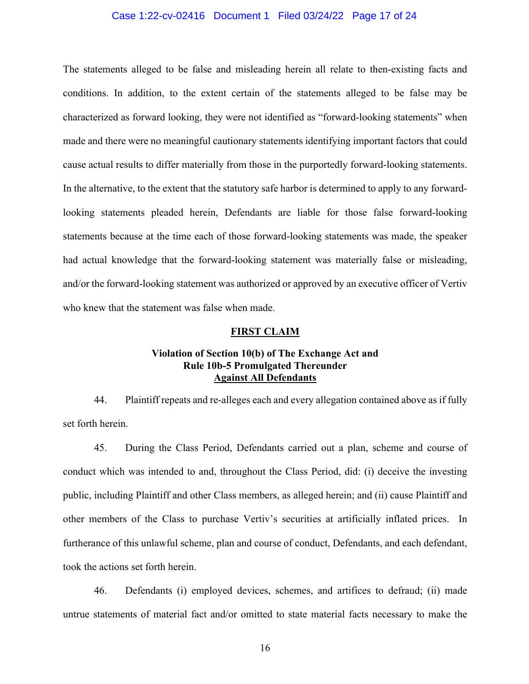### Case 1:22-cv-02416 Document 1 Filed 03/24/22 Page 17 of 24

The statements alleged to be false and misleading herein all relate to then-existing facts and conditions. In addition, to the extent certain of the statements alleged to be false may be characterized as forward looking, they were not identified as "forward-looking statements" when made and there were no meaningful cautionary statements identifying important factors that could cause actual results to differ materially from those in the purportedly forward-looking statements. In the alternative, to the extent that the statutory safe harbor is determined to apply to any forwardlooking statements pleaded herein, Defendants are liable for those false forward-looking statements because at the time each of those forward-looking statements was made, the speaker had actual knowledge that the forward-looking statement was materially false or misleading, and/or the forward-looking statement was authorized or approved by an executive officer of Vertiv who knew that the statement was false when made.

#### **FIRST CLAIM**

## **Violation of Section 10(b) of The Exchange Act and Rule 10b-5 Promulgated Thereunder Against All Defendants**

44. Plaintiff repeats and re-alleges each and every allegation contained above as if fully set forth herein.

45. During the Class Period, Defendants carried out a plan, scheme and course of conduct which was intended to and, throughout the Class Period, did: (i) deceive the investing public, including Plaintiff and other Class members, as alleged herein; and (ii) cause Plaintiff and other members of the Class to purchase Vertiv's securities at artificially inflated prices. In furtherance of this unlawful scheme, plan and course of conduct, Defendants, and each defendant, took the actions set forth herein.

46. Defendants (i) employed devices, schemes, and artifices to defraud; (ii) made untrue statements of material fact and/or omitted to state material facts necessary to make the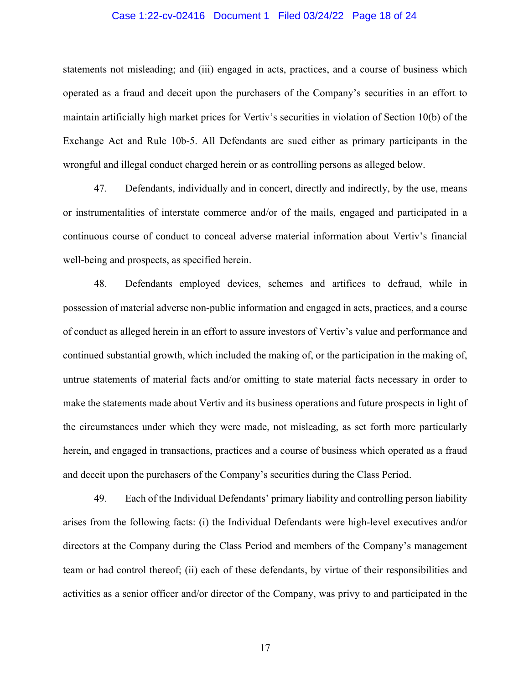### Case 1:22-cv-02416 Document 1 Filed 03/24/22 Page 18 of 24

statements not misleading; and (iii) engaged in acts, practices, and a course of business which operated as a fraud and deceit upon the purchasers of the Company's securities in an effort to maintain artificially high market prices for Vertiv's securities in violation of Section 10(b) of the Exchange Act and Rule 10b-5. All Defendants are sued either as primary participants in the wrongful and illegal conduct charged herein or as controlling persons as alleged below.

47. Defendants, individually and in concert, directly and indirectly, by the use, means or instrumentalities of interstate commerce and/or of the mails, engaged and participated in a continuous course of conduct to conceal adverse material information about Vertiv's financial well-being and prospects, as specified herein.

48. Defendants employed devices, schemes and artifices to defraud, while in possession of material adverse non-public information and engaged in acts, practices, and a course of conduct as alleged herein in an effort to assure investors of Vertiv's value and performance and continued substantial growth, which included the making of, or the participation in the making of, untrue statements of material facts and/or omitting to state material facts necessary in order to make the statements made about Vertiv and its business operations and future prospects in light of the circumstances under which they were made, not misleading, as set forth more particularly herein, and engaged in transactions, practices and a course of business which operated as a fraud and deceit upon the purchasers of the Company's securities during the Class Period.

49. Each of the Individual Defendants' primary liability and controlling person liability arises from the following facts: (i) the Individual Defendants were high-level executives and/or directors at the Company during the Class Period and members of the Company's management team or had control thereof; (ii) each of these defendants, by virtue of their responsibilities and activities as a senior officer and/or director of the Company, was privy to and participated in the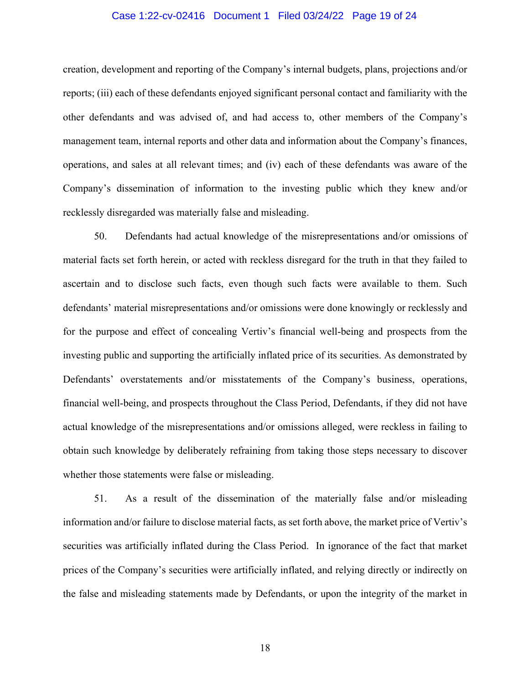### Case 1:22-cv-02416 Document 1 Filed 03/24/22 Page 19 of 24

creation, development and reporting of the Company's internal budgets, plans, projections and/or reports; (iii) each of these defendants enjoyed significant personal contact and familiarity with the other defendants and was advised of, and had access to, other members of the Company's management team, internal reports and other data and information about the Company's finances, operations, and sales at all relevant times; and (iv) each of these defendants was aware of the Company's dissemination of information to the investing public which they knew and/or recklessly disregarded was materially false and misleading.

50. Defendants had actual knowledge of the misrepresentations and/or omissions of material facts set forth herein, or acted with reckless disregard for the truth in that they failed to ascertain and to disclose such facts, even though such facts were available to them. Such defendants' material misrepresentations and/or omissions were done knowingly or recklessly and for the purpose and effect of concealing Vertiv's financial well-being and prospects from the investing public and supporting the artificially inflated price of its securities. As demonstrated by Defendants' overstatements and/or misstatements of the Company's business, operations, financial well-being, and prospects throughout the Class Period, Defendants, if they did not have actual knowledge of the misrepresentations and/or omissions alleged, were reckless in failing to obtain such knowledge by deliberately refraining from taking those steps necessary to discover whether those statements were false or misleading.

51. As a result of the dissemination of the materially false and/or misleading information and/or failure to disclose material facts, as set forth above, the market price of Vertiv's securities was artificially inflated during the Class Period. In ignorance of the fact that market prices of the Company's securities were artificially inflated, and relying directly or indirectly on the false and misleading statements made by Defendants, or upon the integrity of the market in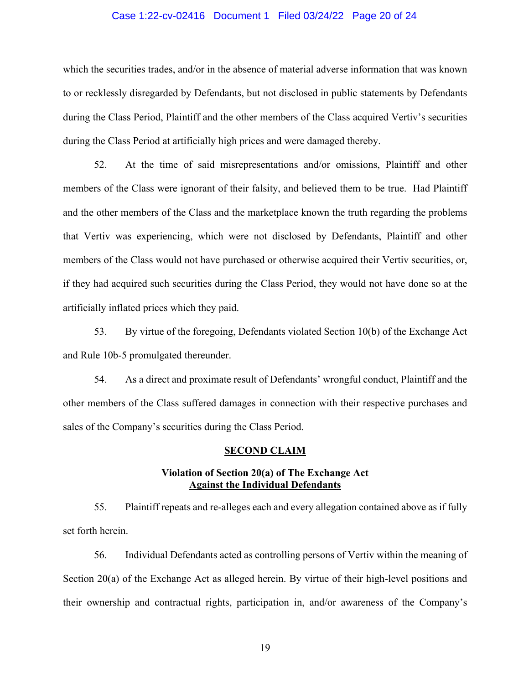### Case 1:22-cv-02416 Document 1 Filed 03/24/22 Page 20 of 24

which the securities trades, and/or in the absence of material adverse information that was known to or recklessly disregarded by Defendants, but not disclosed in public statements by Defendants during the Class Period, Plaintiff and the other members of the Class acquired Vertiv's securities during the Class Period at artificially high prices and were damaged thereby.

52. At the time of said misrepresentations and/or omissions, Plaintiff and other members of the Class were ignorant of their falsity, and believed them to be true. Had Plaintiff and the other members of the Class and the marketplace known the truth regarding the problems that Vertiv was experiencing, which were not disclosed by Defendants, Plaintiff and other members of the Class would not have purchased or otherwise acquired their Vertiv securities, or, if they had acquired such securities during the Class Period, they would not have done so at the artificially inflated prices which they paid.

53. By virtue of the foregoing, Defendants violated Section 10(b) of the Exchange Act and Rule 10b-5 promulgated thereunder.

54. As a direct and proximate result of Defendants' wrongful conduct, Plaintiff and the other members of the Class suffered damages in connection with their respective purchases and sales of the Company's securities during the Class Period.

#### **SECOND CLAIM**

### **Violation of Section 20(a) of The Exchange Act Against the Individual Defendants**

55. Plaintiff repeats and re-alleges each and every allegation contained above as if fully set forth herein.

56. Individual Defendants acted as controlling persons of Vertiv within the meaning of Section 20(a) of the Exchange Act as alleged herein. By virtue of their high-level positions and their ownership and contractual rights, participation in, and/or awareness of the Company's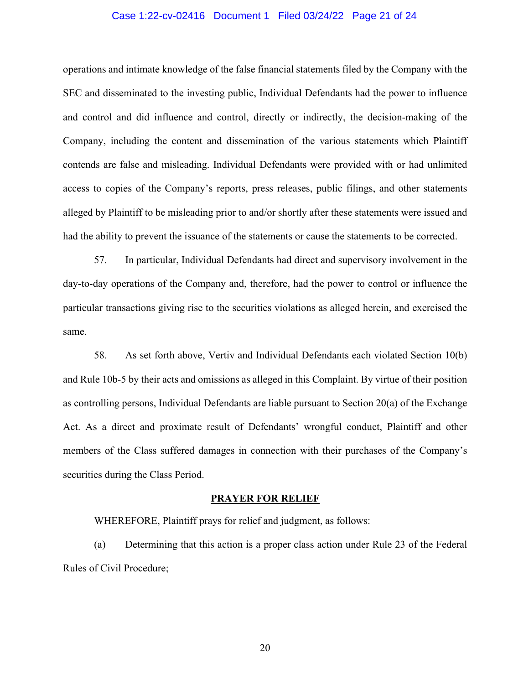### Case 1:22-cv-02416 Document 1 Filed 03/24/22 Page 21 of 24

operations and intimate knowledge of the false financial statements filed by the Company with the SEC and disseminated to the investing public, Individual Defendants had the power to influence and control and did influence and control, directly or indirectly, the decision-making of the Company, including the content and dissemination of the various statements which Plaintiff contends are false and misleading. Individual Defendants were provided with or had unlimited access to copies of the Company's reports, press releases, public filings, and other statements alleged by Plaintiff to be misleading prior to and/or shortly after these statements were issued and had the ability to prevent the issuance of the statements or cause the statements to be corrected.

57. In particular, Individual Defendants had direct and supervisory involvement in the day-to-day operations of the Company and, therefore, had the power to control or influence the particular transactions giving rise to the securities violations as alleged herein, and exercised the same.

58. As set forth above, Vertiv and Individual Defendants each violated Section 10(b) and Rule 10b-5 by their acts and omissions as alleged in this Complaint. By virtue of their position as controlling persons, Individual Defendants are liable pursuant to Section 20(a) of the Exchange Act. As a direct and proximate result of Defendants' wrongful conduct, Plaintiff and other members of the Class suffered damages in connection with their purchases of the Company's securities during the Class Period.

### **PRAYER FOR RELIEF**

WHEREFORE, Plaintiff prays for relief and judgment, as follows:

(a) Determining that this action is a proper class action under Rule 23 of the Federal Rules of Civil Procedure;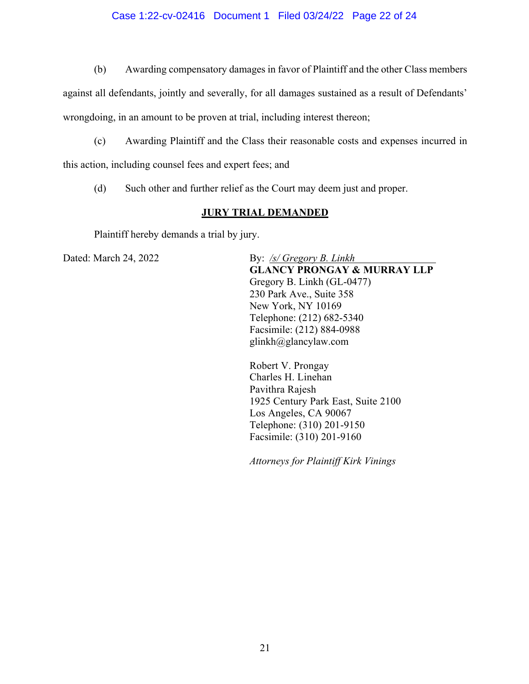### Case 1:22-cv-02416 Document 1 Filed 03/24/22 Page 22 of 24

(b) Awarding compensatory damages in favor of Plaintiff and the other Class members

against all defendants, jointly and severally, for all damages sustained as a result of Defendants'

wrongdoing, in an amount to be proven at trial, including interest thereon;

(c) Awarding Plaintiff and the Class their reasonable costs and expenses incurred in

this action, including counsel fees and expert fees; and

(d) Such other and further relief as the Court may deem just and proper.

### **JURY TRIAL DEMANDED**

Plaintiff hereby demands a trial by jury.

Dated: March 24, 2022 By: */s/ Gregory B. Linkh* **GLANCY PRONGAY & MURRAY LLP** Gregory B. Linkh (GL-0477) 230 Park Ave., Suite 358 New York, NY 10169 Telephone: (212) 682-5340 Facsimile: (212) 884-0988 glinkh@glancylaw.com

> Robert V. Prongay Charles H. Linehan Pavithra Rajesh 1925 Century Park East, Suite 2100 Los Angeles, CA 90067 Telephone: (310) 201-9150 Facsimile: (310) 201-9160

*Attorneys for Plaintiff Kirk Vinings*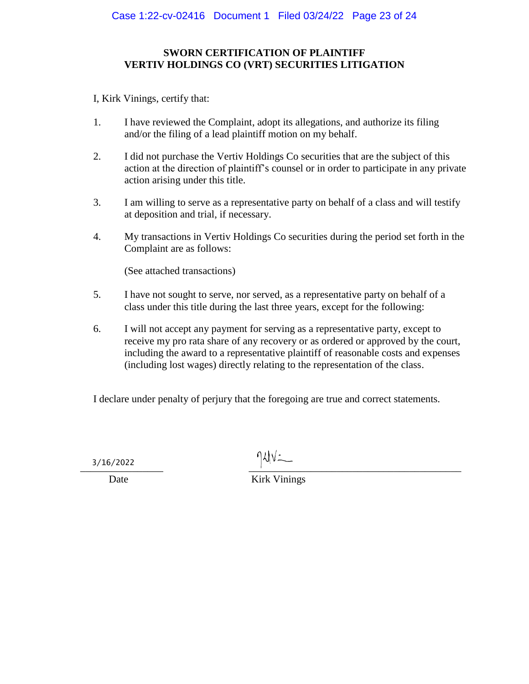# **SWORN CERTIFICATION OF PLAINTIFF VERTIV HOLDINGS CO (VRT) SECURITIES LITIGATION**

I, Kirk Vinings, certify that:

- 1. I have reviewed the Complaint, adopt its allegations, and authorize its filing and/or the filing of a lead plaintiff motion on my behalf.
- 2. I did not purchase the Vertiv Holdings Co securities that are the subject of this action at the direction of plaintiff's counsel or in order to participate in any private action arising under this title.
- 3. I am willing to serve as a representative party on behalf of a class and will testify at deposition and trial, if necessary.
- 4. My transactions in Vertiv Holdings Co securities during the period set forth in the Complaint are as follows:

(See attached transactions)

- 5. I have not sought to serve, nor served, as a representative party on behalf of a class under this title during the last three years, except for the following:
- 6. I will not accept any payment for serving as a representative party, except to receive my pro rata share of any recovery or as ordered or approved by the court, including the award to a representative plaintiff of reasonable costs and expenses (including lost wages) directly relating to the representation of the class.

I declare under penalty of perjury that the foregoing are true and correct statements.

 $\frac{1}{2}$  ,  $\frac{1}{2}$  ,  $\frac{1}{2}$  ,  $\frac{1}{2}$  ,  $\frac{1}{2}$  ,  $\frac{1}{2}$  ,  $\frac{1}{2}$  ,  $\frac{1}{2}$  ,  $\frac{1}{2}$  ,  $\frac{1}{2}$  ,  $\frac{1}{2}$  ,  $\frac{1}{2}$  ,  $\frac{1}{2}$  ,  $\frac{1}{2}$  ,  $\frac{1}{2}$  ,  $\frac{1}{2}$  ,  $\frac{1}{2}$  ,  $\frac{1}{2}$  ,  $\frac{1$ 3/16/2022

Date Kirk Vinings